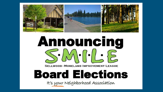

# **Announcing**  $S(MH'LE)$ SELLWOOD-MORELAND IMPROVEMENT LEAGUE

# **Board Elections**

It's your Neighborhood Association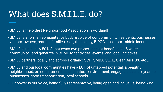### What does S.M.I.L.E. do?

- SMILE is the oldest Neighborhood Association in Portland!
- SMILE is a formal representative body & voice of our community: residents, businesses, visitors, owners, renters, families, kids, the elderly, BIPOC, rich, poor, middle income…
- SMILE is unique: A 501c3 that owns two properties that benefit local & wider community - and generate INCOME for activities, events, and local initiatives.
- SMILE partners locally and across Portland: SCH, SMBA, SEUL, Clean Air PDX, etc…
- SMILE and our local communities have a LOT of untapped potential: a beautiful neighborhood, excellent amenities and natural environment, engaged citizens, dynamic businesses, good transportation, local schools…
- Our power is our voice, being fully representative, being open and inclusive, being kind.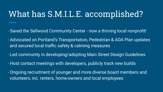## What has S.M.I.L.E. accomplished?

- Saved the Sellwood Community Center now a thriving local nonprofit!
- Advocated on Portland's Transportation, Pedestrian & ADA Plan updates and secured local traffic safety & calming measures
- Led community in developing/adopting Main Street Design Guidelines
- Host contact meetings with developers, publicly track new builds
- Ongoing recruitment of younger and more diverse board members and volunteers, inc. renters, home-owners and local employees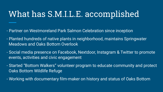# What has S.M.I.L.E. accomplished

- Partner on Westmoreland Park Salmon Celebration since inception
- Planted hundreds of native plants in neighborhood, maintains Springwater Meadows and Oaks Bottom Overlook
- Social media presence on Facebook, Nextdoor, Instagram & Twitter to promote events, activities and civic engagement
- Started "Bottom Walkers" volunteer program to educate community and protect Oaks Bottom Wildlife Refuge
- Working with documentary film-maker on history and status of Oaks Bottom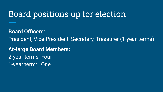# Board positions up for election

**Board Officers:** President, Vice-President, Secretary, Treasurer (1-year terms) **At-large Board Members:** 2-year terms: Four 1-year term: One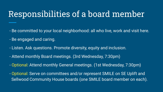#### Responsibilities of a board member

- Be committed to your local neighborhood: all who live, work and visit here.
- Be engaged and caring.
- Listen. Ask questions. Promote diversity, equity and inclusion.
- Attend monthly Board meetings. (3rd Wednesday, 7:30pm)
- Optional: Attend monthly General meetings. (1st Wednesday, 7:30pm)
- Optional: Serve on committees and/or represent SMILE on SE Uplift and Sellwood Community House boards (one SMILE board member on each).